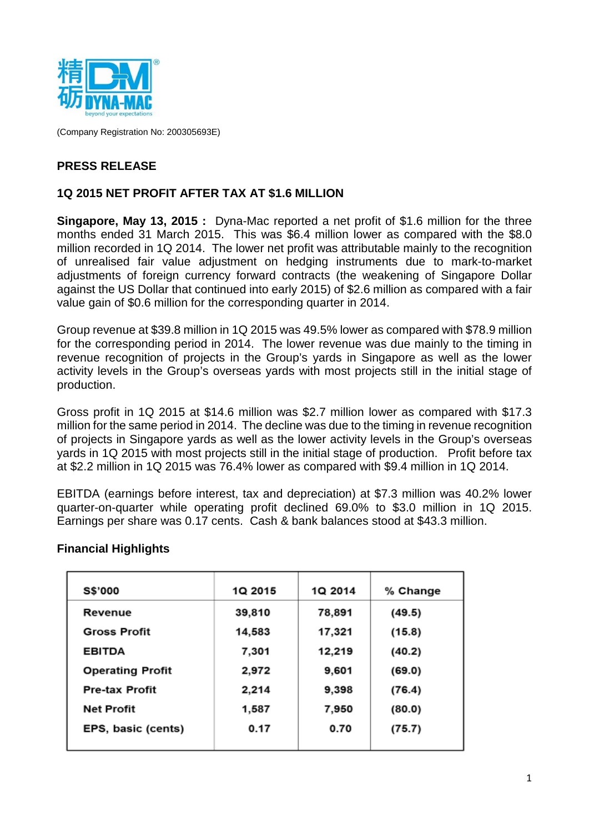

(Company Registration No: 200305693E)

## **PRESS RELEASE**

### **1Q 2015 NET PROFIT AFTER TAX AT \$1.6 MILLION**

**Singapore, May 13, 2015 :** Dyna-Mac reported a net profit of \$1.6 million for the three months ended 31 March 2015. This was \$6.4 million lower as compared with the \$8.0 million recorded in 1Q 2014. The lower net profit was attributable mainly to the recognition of unrealised fair value adjustment on hedging instruments due to mark-to-market adjustments of foreign currency forward contracts (the weakening of Singapore Dollar against the US Dollar that continued into early 2015) of \$2.6 million as compared with a fair value gain of \$0.6 million for the corresponding quarter in 2014.

Group revenue at \$39.8 million in 1Q 2015 was 49.5% lower as compared with \$78.9 million for the corresponding period in 2014. The lower revenue was due mainly to the timing in revenue recognition of projects in the Group's yards in Singapore as well as the lower activity levels in the Group's overseas yards with most projects still in the initial stage of production.

Gross profit in 1Q 2015 at \$14.6 million was \$2.7 million lower as compared with \$17.3 million for the same period in 2014. The decline was due to the timing in revenue recognition of projects in Singapore yards as well as the lower activity levels in the Group's overseas yards in 1Q 2015 with most projects still in the initial stage of production. Profit before tax at \$2.2 million in 1Q 2015 was 76.4% lower as compared with \$9.4 million in 1Q 2014.

EBITDA (earnings before interest, tax and depreciation) at \$7.3 million was 40.2% lower quarter-on-quarter while operating profit declined 69.0% to \$3.0 million in 1Q 2015. Earnings per share was 0.17 cents. Cash & bank balances stood at \$43.3 million.

| <b>S\$'000</b>          | 1Q 2015 | 1Q 2014 | % Change |
|-------------------------|---------|---------|----------|
| Revenue                 | 39,810  | 78,891  | (49.5)   |
| <b>Gross Profit</b>     | 14,583  | 17,321  | (15.8)   |
| <b>EBITDA</b>           | 7,301   | 12,219  | (40.2)   |
| <b>Operating Profit</b> | 2,972   | 9,601   | (69.0)   |
| <b>Pre-tax Profit</b>   | 2,214   | 9,398   | (76.4)   |
| <b>Net Profit</b>       | 1,587   | 7,950   | (80.0)   |
| EPS, basic (cents)      | 0.17    | 0.70    | (75.7)   |

#### **Financial Highlights**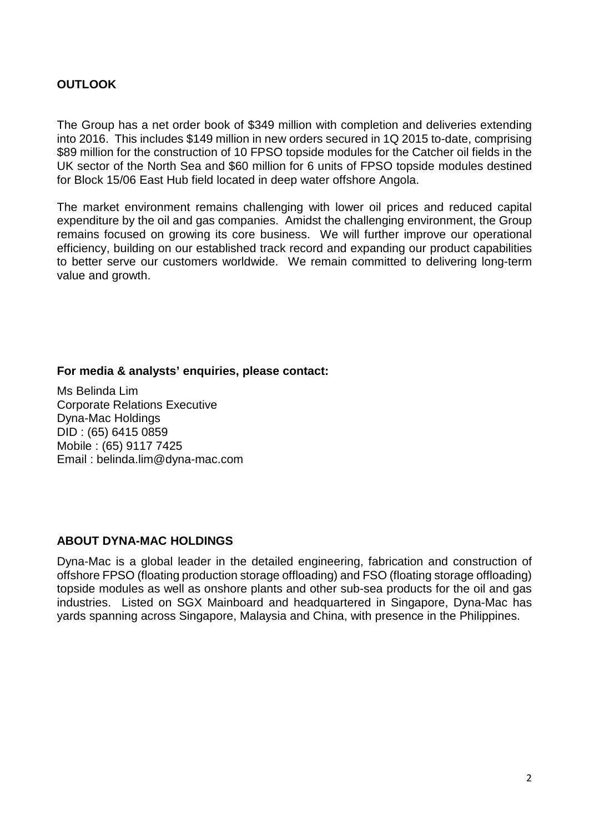## **OUTLOOK**

The Group has a net order book of \$349 million with completion and deliveries extending into 2016. This includes \$149 million in new orders secured in 1Q 2015 to-date, comprising \$89 million for the construction of 10 FPSO topside modules for the Catcher oil fields in the UK sector of the North Sea and \$60 million for 6 units of FPSO topside modules destined for Block 15/06 East Hub field located in deep water offshore Angola.

The market environment remains challenging with lower oil prices and reduced capital expenditure by the oil and gas companies. Amidst the challenging environment, the Group remains focused on growing its core business. We will further improve our operational efficiency, building on our established track record and expanding our product capabilities to better serve our customers worldwide. We remain committed to delivering long-term value and growth.

#### **For media & analysts' enquiries, please contact:**

Ms Belinda Lim Corporate Relations Executive Dyna-Mac Holdings DID : (65) 6415 0859 Mobile : (65) 9117 7425 Email : belinda.lim@dyna-mac.com

#### **ABOUT DYNA-MAC HOLDINGS**

Dyna-Mac is a global leader in the detailed engineering, fabrication and construction of offshore FPSO (floating production storage offloading) and FSO (floating storage offloading) topside modules as well as onshore plants and other sub-sea products for the oil and gas industries. Listed on SGX Mainboard and headquartered in Singapore, Dyna-Mac has yards spanning across Singapore, Malaysia and China, with presence in the Philippines.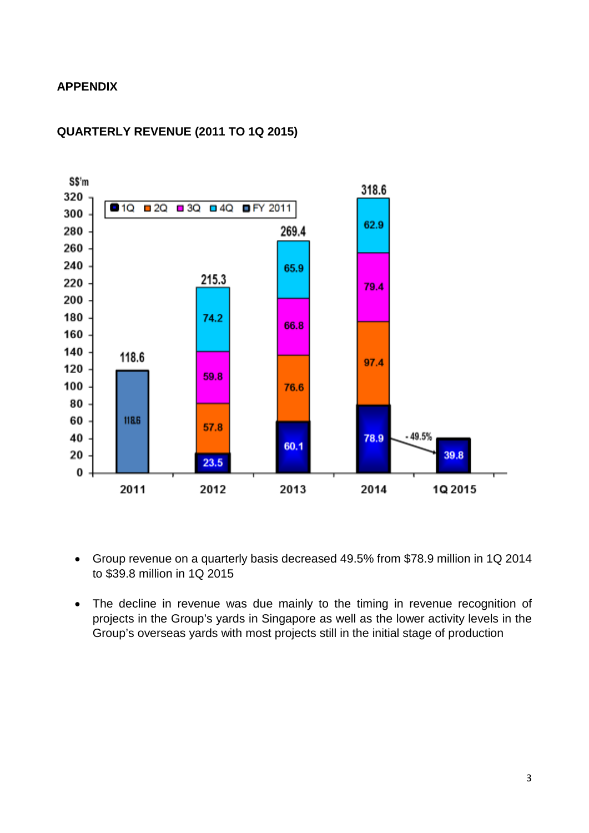#### **APPENDIX**



#### **QUARTERLY REVENUE (2011 TO 1Q 2015)**

- Group revenue on a quarterly basis decreased 49.5% from \$78.9 million in 1Q 2014 to \$39.8 million in 1Q 2015
- The decline in revenue was due mainly to the timing in revenue recognition of projects in the Group's yards in Singapore as well as the lower activity levels in the Group's overseas yards with most projects still in the initial stage of production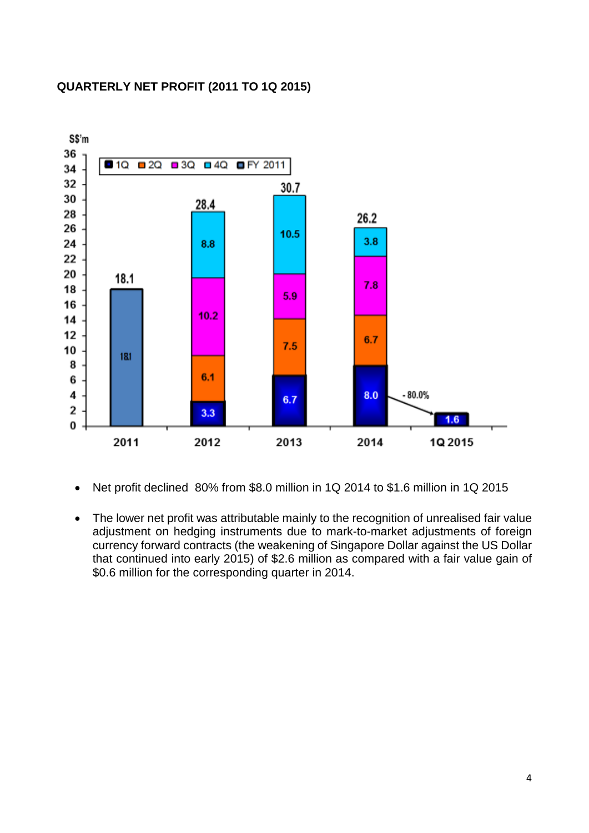#### **QUARTERLY NET PROFIT (2011 TO 1Q 2015)**



- Net profit declined 80% from \$8.0 million in 1Q 2014 to \$1.6 million in 1Q 2015
- The lower net profit was attributable mainly to the recognition of unrealised fair value adjustment on hedging instruments due to mark-to-market adjustments of foreign currency forward contracts (the weakening of Singapore Dollar against the US Dollar that continued into early 2015) of \$2.6 million as compared with a fair value gain of \$0.6 million for the corresponding quarter in 2014.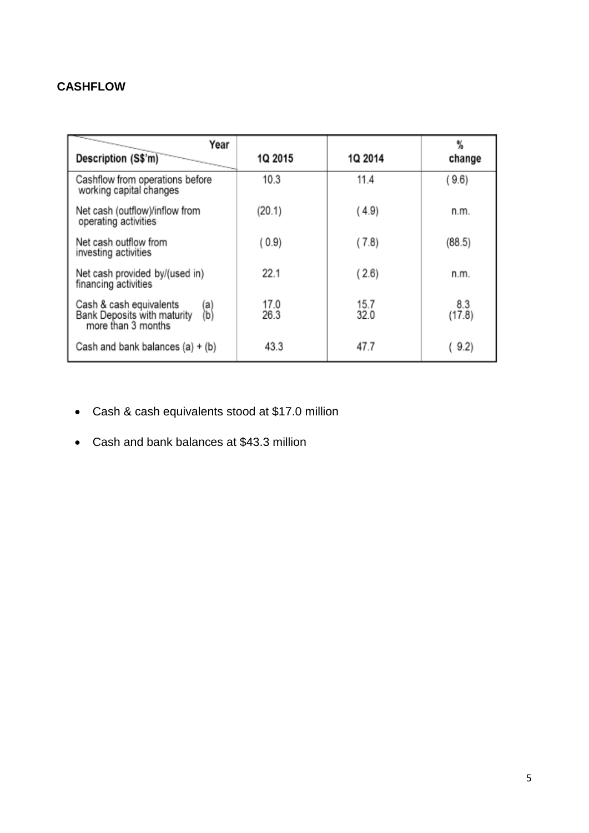# **CASHFLOW**

| Year<br>Description (S\$'m)                                                                | 1Q 2015      | 1Q 2014      | %<br>change   |
|--------------------------------------------------------------------------------------------|--------------|--------------|---------------|
| Cashflow from operations before<br>working capital changes                                 | 10.3         | 11.4         | (9.6)         |
| Net cash (outflow)/inflow from<br>operating activities                                     | (20.1)       | (4.9)        | n.m.          |
| Net cash outflow from<br>investing activities                                              | (0.9)        | (7.8)        | (88.5)        |
| Net cash provided by/(used in)<br>financing activities                                     | 22.1         | (2.6)        | n.m.          |
| Cash & cash equivalents<br>(a)<br>(b)<br>Bank Deposits with maturity<br>more than 3 months | 17.0<br>26.3 | 15.7<br>32.0 | 8.3<br>(17.8) |
| Cash and bank balances $(a) + (b)$                                                         | 43.3         | 47.7         | 9.2)          |

- Cash & cash equivalents stood at \$17.0 million
- Cash and bank balances at \$43.3 million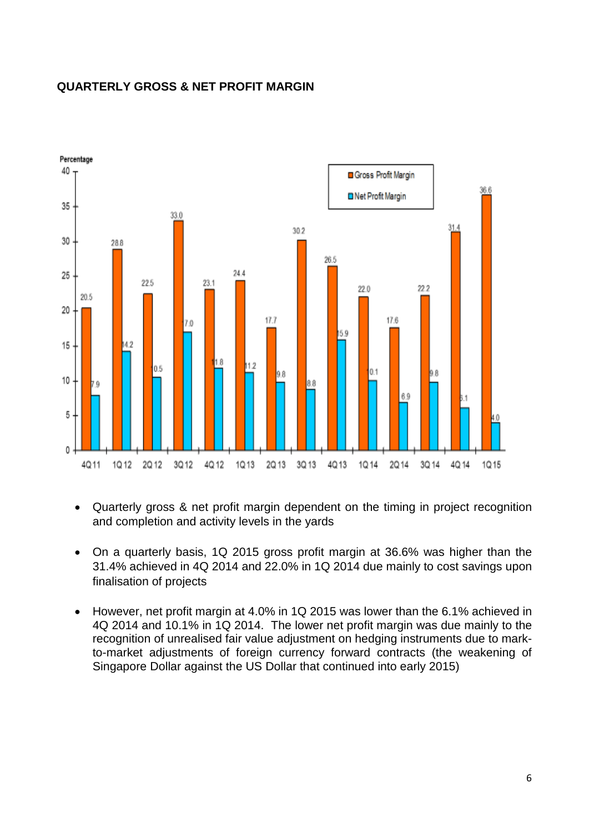

### **QUARTERLY GROSS & NET PROFIT MARGIN**

- Quarterly gross & net profit margin dependent on the timing in project recognition and completion and activity levels in the yards
- On a quarterly basis, 1Q 2015 gross profit margin at 36.6% was higher than the 31.4% achieved in 4Q 2014 and 22.0% in 1Q 2014 due mainly to cost savings upon finalisation of projects
- However, net profit margin at 4.0% in 1Q 2015 was lower than the 6.1% achieved in 4Q 2014 and 10.1% in 1Q 2014. The lower net profit margin was due mainly to the recognition of unrealised fair value adjustment on hedging instruments due to markto-market adjustments of foreign currency forward contracts (the weakening of Singapore Dollar against the US Dollar that continued into early 2015)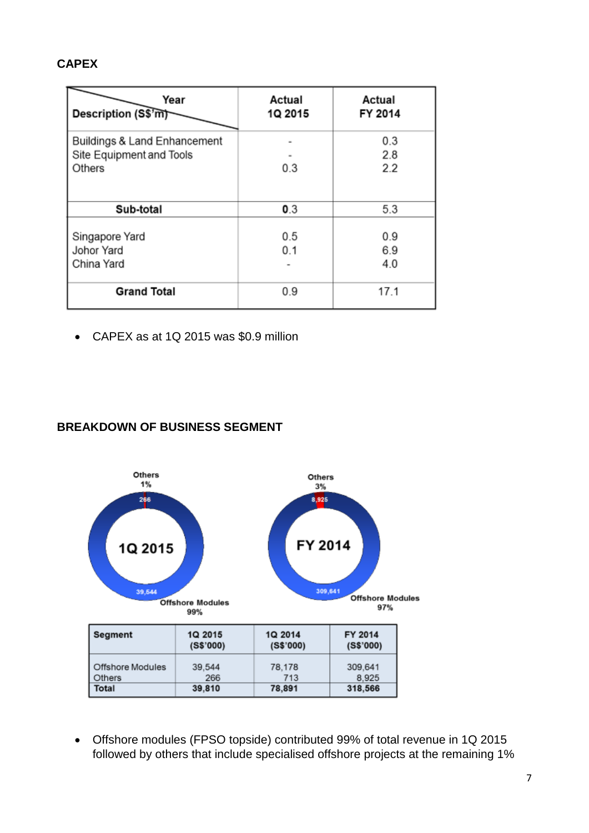## **CAPEX**

| Year<br>Description (S\$'m)  | Actual<br>1Q 2015 | Actual<br>FY 2014 |
|------------------------------|-------------------|-------------------|
| Buildings & Land Enhancement |                   | 0.3               |
| Site Equipment and Tools     |                   | 2.8               |
| Others                       | 0.3               | 2.2               |
|                              |                   |                   |
| Sub-total                    | 0.3               | 5.3               |
|                              |                   |                   |
| Singapore Yard               | 0.5               | 0.9               |
| Johor Yard                   | 0.1               | 6.9               |
| China Yard                   |                   | 4.0               |
|                              |                   |                   |
| <b>Grand Total</b>           | 0.9               | 17.1              |

• CAPEX as at 1Q 2015 was \$0.9 million

## **BREAKDOWN OF BUSINESS SEGMENT**



• Offshore modules (FPSO topside) contributed 99% of total revenue in 1Q 2015 followed by others that include specialised offshore projects at the remaining 1%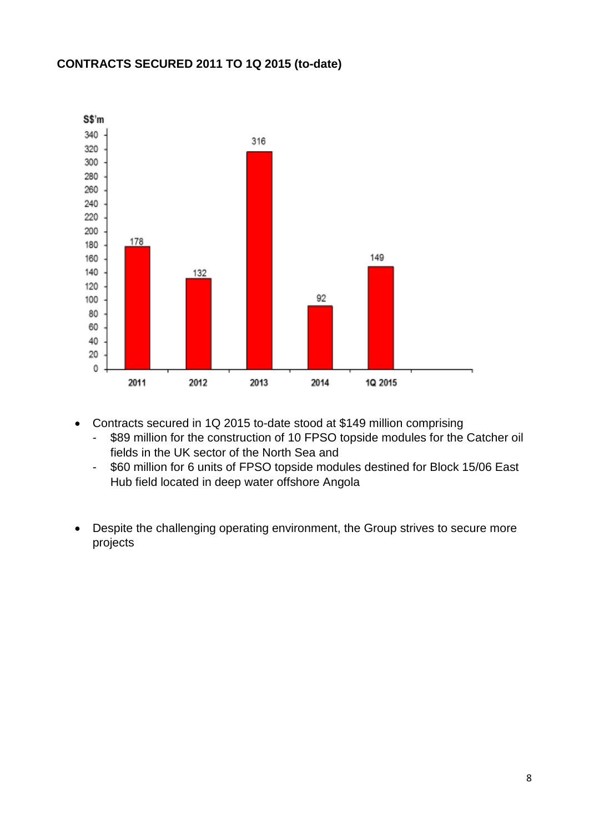## **CONTRACTS SECURED 2011 TO 1Q 2015 (to-date)**



- Contracts secured in 1Q 2015 to-date stood at \$149 million comprising
	- \$89 million for the construction of 10 FPSO topside modules for the Catcher oil fields in the UK sector of the North Sea and
	- \$60 million for 6 units of FPSO topside modules destined for Block 15/06 East Hub field located in deep water offshore Angola
- Despite the challenging operating environment, the Group strives to secure more projects